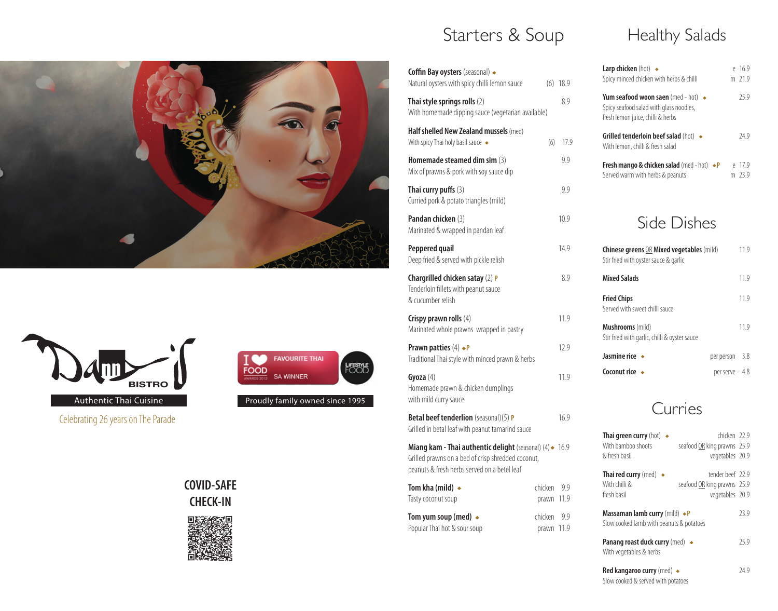



Celebrating 26 years on The Parade

#### **COVID-SAFE CHECK-IN**



## Starters & Soup

| Coffin Bay oysters (seasonal) .<br>Natural oysters with spicy chilli lemon sauce                                                                               |                       | $(6)$ 18.9 | Larp cl<br>Spicy m             |
|----------------------------------------------------------------------------------------------------------------------------------------------------------------|-----------------------|------------|--------------------------------|
| Thai style springs rolls $(2)$<br>With homemade dipping sauce (vegetarian available)                                                                           |                       | 8.9        | Yum so<br>Spicy se<br>fresh le |
| Half shelled New Zealand mussels (med)<br>With spicy Thai holy basil sauce •                                                                                   | (6)                   | 17.9       | Grilled<br>With le             |
| Homemade steamed dim sim (3)<br>Mix of prawns & pork with soy sauce dip                                                                                        |                       | 9.9        | Fresh r<br>Served              |
| Thai curry puffs $(3)$<br>Curried pork & potato triangles (mild)                                                                                               |                       | 9.9        |                                |
| Pandan chicken (3)<br>Marinated & wrapped in pandan leaf                                                                                                       |                       | 10.9       |                                |
| <b>Peppered quail</b><br>Deep fried & served with pickle relish                                                                                                |                       | 14.9       | <b>Chines</b><br>Stir frie     |
| Chargrilled chicken satay $(2)$ P<br>Tenderloin fillets with peanut sauce<br>& cucumber relish                                                                 |                       | 8.9        | <b>Mixed</b><br><b>Fried C</b> |
| Crispy prawn rolls $(4)$<br>Marinated whole prawns wrapped in pastry                                                                                           |                       | 11.9       | Served<br>Mushr                |
| <b>Prawn patties <math>(4) \cdot P</math></b><br>Traditional Thai style with minced prawn & herbs                                                              |                       | 12.9       | Stir frie<br>Jasmir            |
| Gyoza $(4)$<br>Homemade prawn & chicken dumplings<br>with mild curry sauce                                                                                     |                       | 11.9       | Cocon                          |
| <b>Betal beef tenderlion</b> (seasonal)(5) <b>P</b><br>Grilled in betal leaf with peanut tamarind sauce                                                        |                       | 16.9       |                                |
| Miang kam - Thai authentic delight (seasonal) (4) - 16.9<br>Grilled prawns on a bed of crisp shredded coconut,<br>peanuts & fresh herbs served on a betel leaf |                       |            | Thai g<br>With ba<br>& fresh   |
| Tom kha (mild) •<br>Tasty coconut soup                                                                                                                         | chicken<br>prawn 11.9 | 9.9        | Thai re<br>With ch<br>fresh ba |
|                                                                                                                                                                |                       |            |                                |

**Tom yum soup (med)** • chicken 9.9 Popular Thai hot & sour soup prawn 11.9

# Healthy Salads

| Larp chicken (hot) .                                                                                                     | e 16.9 |
|--------------------------------------------------------------------------------------------------------------------------|--------|
| Spicy minced chicken with herbs & chilli                                                                                 | m 21.9 |
| <b>Yum seafood woon saen</b> (med - hot)<br>Spicy seafood salad with glass noodles,<br>fresh lemon juice, chilli & herbs | 25.9   |
| <b>Grilled tenderloin beef salad (hot)</b> •<br>With lemon, chilli & fresh salad                                         | 24.9   |
| <b>Fresh mango &amp; chicken salad</b> (med - hot) $\bullet$ <b>P</b>                                                    | e 17.9 |
| Served warm with herbs & peanuts                                                                                         | m 23.9 |

#### Side Dishes

| <b>Chinese greens OR Mixed vegetables (mild)</b><br>Stir fried with oyster sauce & garlic |            | 11 9 |
|-------------------------------------------------------------------------------------------|------------|------|
| Mixed Salads                                                                              |            | 119  |
| <b>Fried Chips</b><br>Served with sweet chilli sauce                                      |            | 119  |
| <b>Mushrooms</b> (mild)<br>Stir fried with garlic, chilli & oyster sauce                  |            | 119  |
| Jasmine rice                                                                              | per person | 3.8  |
| Coconut rice                                                                              | per serve  | 4.8  |
|                                                                                           |            |      |

#### Curries

| <b>Thai green curry (hot)</b> $\bullet$<br>With bamboo shoots<br>& fresh basil                   | chicken 229<br>seafood OR king prawns 25.9<br>vegetables 20.9      |      |
|--------------------------------------------------------------------------------------------------|--------------------------------------------------------------------|------|
| <b>Thai red curry</b> (med) $\bullet$<br>With chilli &<br>fresh basil                            | tender beef 22.9<br>seafood OR king prawns 25.9<br>vegetables 20.9 |      |
| <b>Massaman lamb curry</b> (mild) $\bullet$ <b>P</b><br>Slow cooked lamb with peanuts & potatoes |                                                                    |      |
| <b>Panang roast duck curry (med) •</b><br>With vegetables & herbs                                |                                                                    | 25.9 |
| Red kangaroo curry (med) •<br>Slow cooked & served with potatoes                                 |                                                                    | 24.9 |

#### **FAVOURITE THAI** HESTME **FOOD** SA WINNER

Proudly family owned since 1995